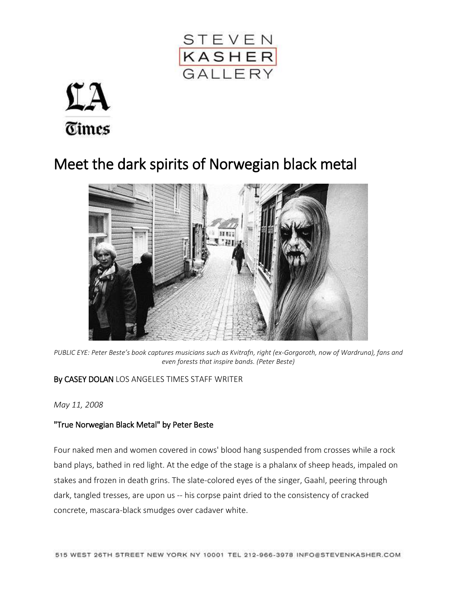



## Meet the dark spirits of Norwegian black metal



*PUBLIC EYE: Peter Beste's book captures musicians such as Kvitrafn, right (ex-Gorgoroth, now of Wardruna), fans and even forests that inspire bands. (Peter Beste)*

## By CASEY DOLAN LOS ANGELES TIMES STAFF WRITER

*May 11, 2008*

## ["True Norwegian Black Metal" by Peter Beste](http://www.latimes.com/entertainment/la-ca-0511-blackmetal-pg-photogallery.html)

Four naked men and women covered in cows' blood hang suspended from crosses while a rock band plays, bathed in red light. At the edge of the stage is a phalanx of sheep heads, impaled on stakes and frozen in death grins. The slate-colored eyes of the singer, Gaahl, peering through dark, tangled tresses, are upon us -- his corpse paint dried to the consistency of cracked concrete, mascara-black smudges over cadaver white.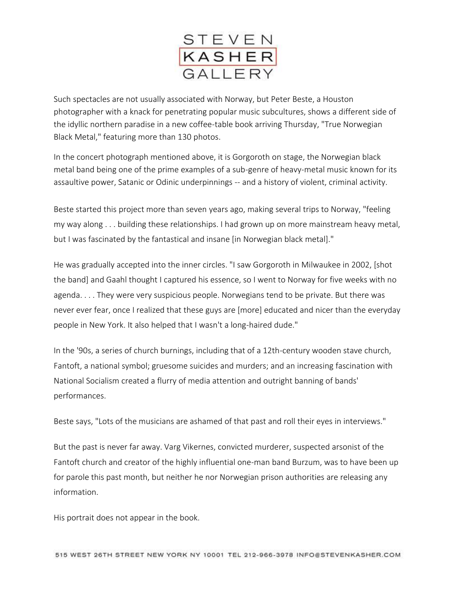

Such spectacles are not usually associated with Norway, but Peter Beste, a Houston photographer with a knack for penetrating popular music subcultures, shows a different side of the idyllic northern paradise in a new coffee-table book arriving Thursday, "True Norwegian Black Metal," featuring more than 130 photos.

In the concert photograph mentioned above, it is Gorgoroth on stage, the Norwegian black metal band being one of the prime examples of a sub-genre of heavy-metal music known for its assaultive power, Satanic or Odinic underpinnings -- and a history of violent, criminal activity.

Beste started this project more than seven years ago, making several trips to Norway, "feeling my way along . . . building these relationships. I had grown up on more mainstream heavy metal, but I was fascinated by the fantastical and insane [in Norwegian black metal]."

He was gradually accepted into the inner circles. "I saw Gorgoroth in Milwaukee in 2002, [shot the band] and Gaahl thought I captured his essence, so I went to Norway for five weeks with no agenda. . . . They were very suspicious people. Norwegians tend to be private. But there was never ever fear, once I realized that these guys are [more] educated and nicer than the everyday people in New York. It also helped that I wasn't a long-haired dude."

In the '90s, a series of church burnings, including that of a 12th-century wooden stave church, Fantoft, a national symbol; gruesome suicides and murders; and an increasing fascination with National Socialism created a flurry of media attention and outright banning of bands' performances.

Beste says, "Lots of the musicians are ashamed of that past and roll their eyes in interviews."

But the past is never far away. Varg Vikernes, convicted murderer, suspected arsonist of the Fantoft church and creator of the highly influential one-man band Burzum, was to have been up for parole this past month, but neither he nor Norwegian prison authorities are releasing any information.

His portrait does not appear in the book.